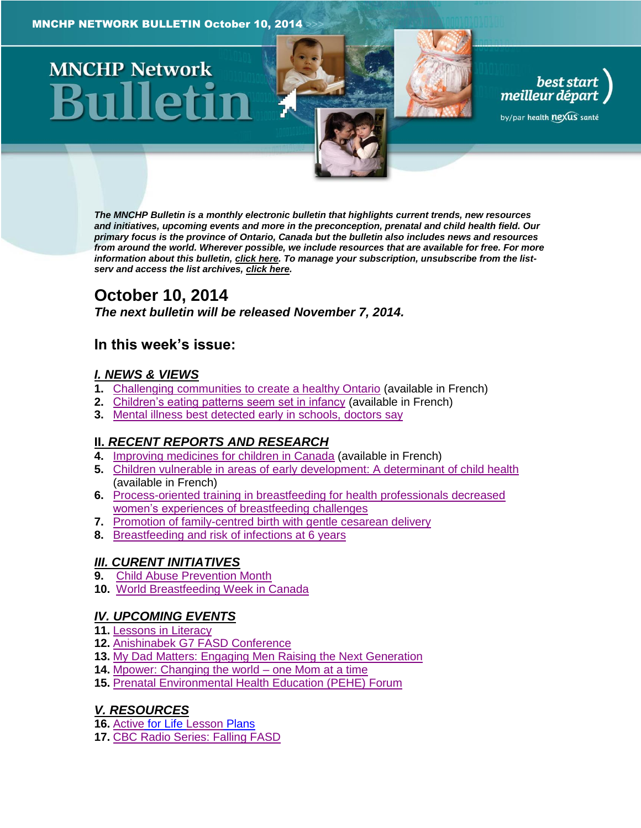# **MNCHP Network**

*The MNCHP Bulletin is a monthly electronic bulletin that highlights current trends, new resources and initiatives, upcoming events and more in the preconception, prenatal and child health field. Our primary focus is the province of Ontario, Canada but the bulletin also includes news and resources from around the world. Wherever possible, we include resources that are available for free. For more information about this bulletin[, click here.](#page-13-0) To manage your subscription, unsubscribe from the listserv and access the list archives, [click here.](http://beststart.org/services/information.html)* 

best start<br>, meilleur départ

by/par health nexus santé

# **October 10, 2014**

*The next bulletin will be released November 7, 2014.*

# **In this week's issue:**

# *[I. NEWS & VIEWS](#page-1-0)*

- **1.** [Challenging communities to create a healthy Ontario](#page-1-1) (available in French)
- **2.** [Children's eating patterns seem set in infancy](#page-1-2) (available in French)
- **3.** [Mental illness best detected early in schools, doctors say](#page-2-0)

# **II.** *[RECENT REPORTS AND RESEARCH](#page-2-1)*

- **4.** [Improving medicines for children in Canada](#page-2-2) (available in French)
- **5.** [Children vulnerable in areas of early development: A determinant of child health](#page-3-0) (available in French)
- **6.** [Process-oriented training in breastfeeding for health professionals decreased](#page-4-0)  women's experiences [of breastfeeding challenges](#page-4-0)
- **7.** [Promotion of family-centred birth with gentle cesarean delivery](#page-5-0)
- **8.** [Breastfeeding and risk of infections at 6 years](#page-5-1)

# *[III. CURENT INITIATIVES](#page-6-0)*

- **9.** [Child Abuse Prevention Month](#page-6-1)
- **10.** [World Breastfeeding Week in Canada](#page-7-0)

# *[IV. UPCOMING EVENTS](#page-8-0)*

- **11.** [Lessons in Literacy](#page-8-1)
- **12.** [Anishinabek G7 FASD Conference](#page-8-2)
- **13.** [My Dad Matters: Engaging Men Raising the Next Generation](#page-9-0)
- **14.** [Mpower: Changing the world –](#page-9-1) one Mom at a time
- **15.** [Prenatal Environmental Health Education \(PEHE\) Forum](#page-9-2)

# *[V. RESOURCES](#page-10-0)*

- **16.** [Active](#page-10-1) for Life [Lesson](#page-10-1) Plans
- **17.** [CBC Radio Series: Falling FASD](#page-10-2)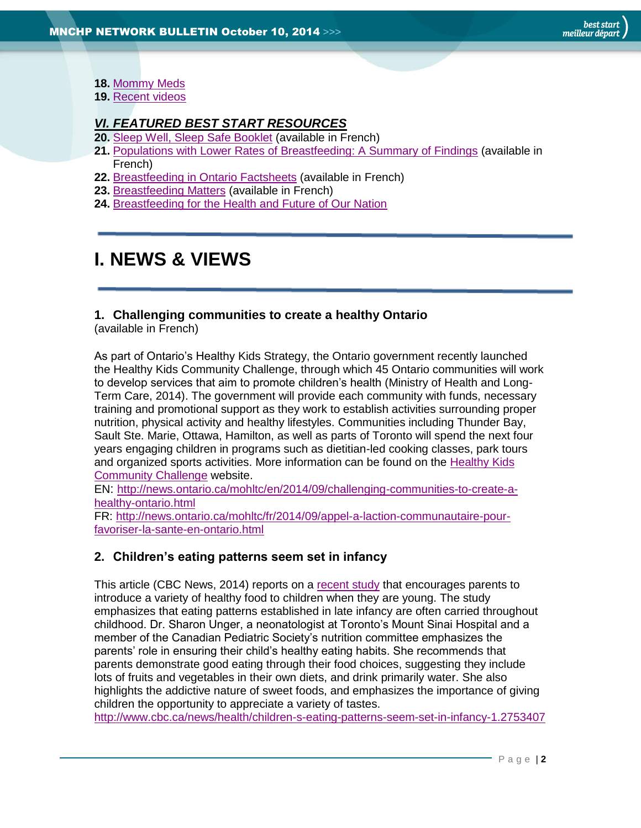- **18.** [Mommy Meds](#page-11-0)
- **19.** [Recent videos](#page-11-1)

# *[VI. FEATURED BEST START RESOURCES](#page-11-2)*

- **20.** [Sleep Well, Sleep Safe Booklet](#page-11-3) (available in French)
- **21.** [Populations with Lower Rates of Breastfeeding: A Summary of Findings](#page-12-0) (available in French)
- **22.** [Breastfeeding in Ontario Factsheets](#page-12-1) (available in French)
- **23.** [Breastfeeding Matters](#page-13-1) (available in French)
- **24.** [Breastfeeding for the Health and Future of Our Nation](#page-13-2)

# <span id="page-1-0"></span>**I. NEWS & VIEWS**

# <span id="page-1-1"></span>**1. Challenging communities to create a healthy Ontario**

(available in French)

As part of Ontario's Healthy Kids Strategy, the Ontario government recently launched the Healthy Kids Community Challenge, through which 45 Ontario communities will work to develop services that aim to promote children's health (Ministry of Health and Long-Term Care, 2014). The government will provide each community with funds, necessary training and promotional support as they work to establish activities surrounding proper nutrition, physical activity and healthy lifestyles. Communities including Thunder Bay, Sault Ste. Marie, Ottawa, Hamilton, as well as parts of Toronto will spend the next four years engaging children in programs such as dietitian-led cooking classes, park tours and organized sports activities. More information can be found on the [Healthy Kids](http://www.health.gov.on.ca/en/public/programs/healthykids/)  [Community Challenge](http://www.health.gov.on.ca/en/public/programs/healthykids/) website.

EN: [http://news.ontario.ca/mohltc/en/2014/09/challenging-communities-to-create-a](http://news.ontario.ca/mohltc/en/2014/09/challenging-communities-to-create-a-healthy-ontario.html)[healthy-ontario.html](http://news.ontario.ca/mohltc/en/2014/09/challenging-communities-to-create-a-healthy-ontario.html)

FR: [http://news.ontario.ca/mohltc/fr/2014/09/appel-a-laction-communautaire-pour](http://news.ontario.ca/mohltc/fr/2014/09/appel-a-laction-communautaire-pour-favoriser-la-sante-en-ontario.html)[favoriser-la-sante-en-ontario.html](http://news.ontario.ca/mohltc/fr/2014/09/appel-a-laction-communautaire-pour-favoriser-la-sante-en-ontario.html)

# <span id="page-1-2"></span>**2. Children's eating patterns seem set in infancy**

This article (CBC News, 2014) reports on a [recent study](http://pediatrics.aappublications.org/content/134/Supplement_1/S4.abstract) that encourages parents to introduce a variety of healthy food to children when they are young. The study emphasizes that eating patterns established in late infancy are often carried throughout childhood. Dr. Sharon Unger, a neonatologist at Toronto's Mount Sinai Hospital and a member of the Canadian Pediatric Society's nutrition committee emphasizes the parents' role in ensuring their child's healthy eating habits. She recommends that parents demonstrate good eating through their food choices, suggesting they include lots of fruits and vegetables in their own diets, and drink primarily water. She also highlights the addictive nature of sweet foods, and emphasizes the importance of giving children the opportunity to appreciate a variety of tastes.

<http://www.cbc.ca/news/health/children-s-eating-patterns-seem-set-in-infancy-1.2753407>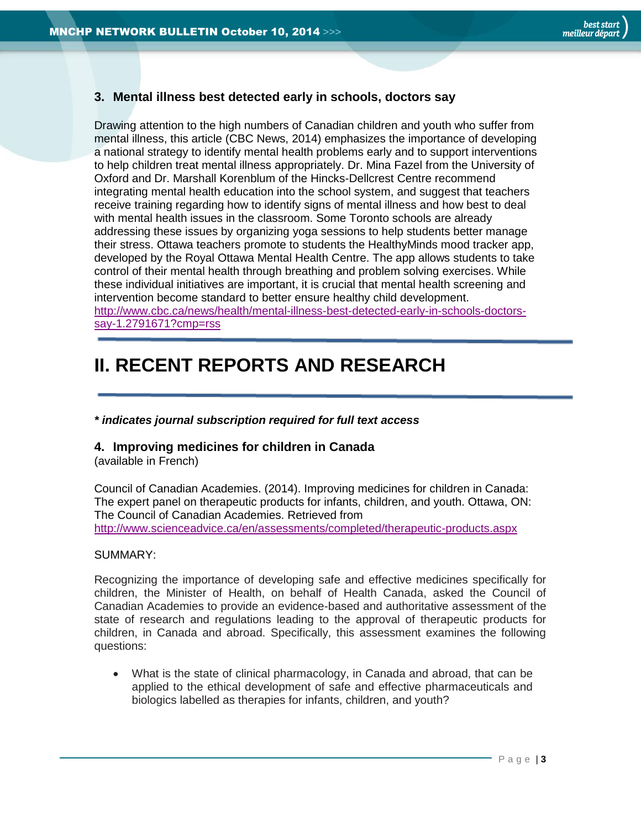# <span id="page-2-0"></span>**3. Mental illness best detected early in schools, doctors say**

Drawing attention to the high numbers of Canadian children and youth who suffer from mental illness, this article (CBC News, 2014) emphasizes the importance of developing a national strategy to identify mental health problems early and to support interventions to help children treat mental illness appropriately. Dr. Mina Fazel from the University of Oxford and Dr. Marshall Korenblum of the Hincks-Dellcrest Centre recommend integrating mental health education into the school system, and suggest that teachers receive training regarding how to identify signs of mental illness and how best to deal with mental health issues in the classroom. Some Toronto schools are already addressing these issues by organizing yoga sessions to help students better manage their stress. Ottawa teachers promote to students the HealthyMinds mood tracker app, developed by the Royal Ottawa Mental Health Centre. The app allows students to take control of their mental health through breathing and problem solving exercises. While these individual initiatives are important, it is crucial that mental health screening and intervention become standard to better ensure healthy child development. [http://www.cbc.ca/news/health/mental-illness-best-detected-early-in-schools-doctors](http://www.cbc.ca/news/health/mental-illness-best-detected-early-in-schools-doctors-say-1.2791671?cmp=rss)[say-1.2791671?cmp=rss](http://www.cbc.ca/news/health/mental-illness-best-detected-early-in-schools-doctors-say-1.2791671?cmp=rss)

# <span id="page-2-1"></span>**II. RECENT REPORTS AND RESEARCH**

#### *\* indicates journal subscription required for full text access*

## <span id="page-2-2"></span>**4. Improving medicines for children in Canada**

(available in French)

Council of Canadian Academies. (2014). Improving medicines for children in Canada: The expert panel on therapeutic products for infants, children, and youth. Ottawa, ON: The Council of Canadian Academies. Retrieved from <http://www.scienceadvice.ca/en/assessments/completed/therapeutic-products.aspx>

#### SUMMARY:

Recognizing the importance of developing safe and effective medicines specifically for children, the Minister of Health, on behalf of Health Canada, asked the Council of Canadian Academies to provide an evidence-based and authoritative assessment of the state of research and regulations leading to the approval of therapeutic products for children, in Canada and abroad. Specifically, this assessment examines the following questions:

 What is the state of clinical pharmacology, in Canada and abroad, that can be applied to the ethical development of safe and effective pharmaceuticals and biologics labelled as therapies for infants, children, and youth?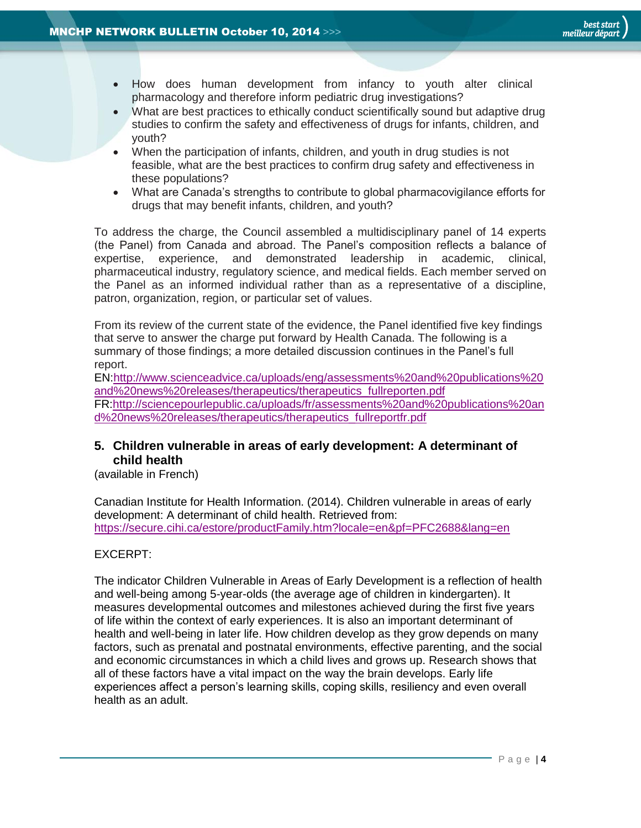- How does human development from infancy to youth alter clinical pharmacology and therefore inform pediatric drug investigations?
- What are best practices to ethically conduct scientifically sound but adaptive drug studies to confirm the safety and effectiveness of drugs for infants, children, and youth?
- When the participation of infants, children, and youth in drug studies is not feasible, what are the best practices to confirm drug safety and effectiveness in these populations?
- What are Canada's strengths to contribute to global pharmacovigilance efforts for drugs that may benefit infants, children, and youth?

To address the charge, the Council assembled a multidisciplinary panel of 14 experts (the Panel) from Canada and abroad. The Panel's composition reflects a balance of expertise, experience, and demonstrated leadership in academic, clinical, pharmaceutical industry, regulatory science, and medical fields. Each member served on the Panel as an informed individual rather than as a representative of a discipline, patron, organization, region, or particular set of values.

From its review of the current state of the evidence, the Panel identified five key findings that serve to answer the charge put forward by Health Canada. The following is a summary of those findings; a more detailed discussion continues in the Panel's full report.

EN[:http://www.scienceadvice.ca/uploads/eng/assessments%20and%20publications%20](http://www.scienceadvice.ca/uploads/eng/assessments%20and%20publications%20and%20news%20releases/therapeutics/therapeutics_fullreporten.pdf) [and%20news%20releases/therapeutics/therapeutics\\_fullreporten.pdf](http://www.scienceadvice.ca/uploads/eng/assessments%20and%20publications%20and%20news%20releases/therapeutics/therapeutics_fullreporten.pdf)

FR[:http://sciencepourlepublic.ca/uploads/fr/assessments%20and%20publications%20an](http://sciencepourlepublic.ca/uploads/fr/assessments%20and%20publications%20and%20news%20releases/therapeutics/therapeutics_fullreportfr.pdf) [d%20news%20releases/therapeutics/therapeutics\\_fullreportfr.pdf](http://sciencepourlepublic.ca/uploads/fr/assessments%20and%20publications%20and%20news%20releases/therapeutics/therapeutics_fullreportfr.pdf)

# <span id="page-3-0"></span>**5. Children vulnerable in areas of early development: A determinant of child health**

(available in French)

Canadian Institute for Health Information. (2014). Children vulnerable in areas of early development: A determinant of child health. Retrieved from: <https://secure.cihi.ca/estore/productFamily.htm?locale=en&pf=PFC2688&lang=en>

## EXCERPT:

The indicator Children Vulnerable in Areas of Early Development is a reflection of health and well-being among 5-year-olds (the average age of children in kindergarten). It measures developmental outcomes and milestones achieved during the first five years of life within the context of early experiences. It is also an important determinant of health and well-being in later life. How children develop as they grow depends on many factors, such as prenatal and postnatal environments, effective parenting, and the social and economic circumstances in which a child lives and grows up. Research shows that all of these factors have a vital impact on the way the brain develops. Early life experiences affect a person's learning skills, coping skills, resiliency and even overall health as an adult.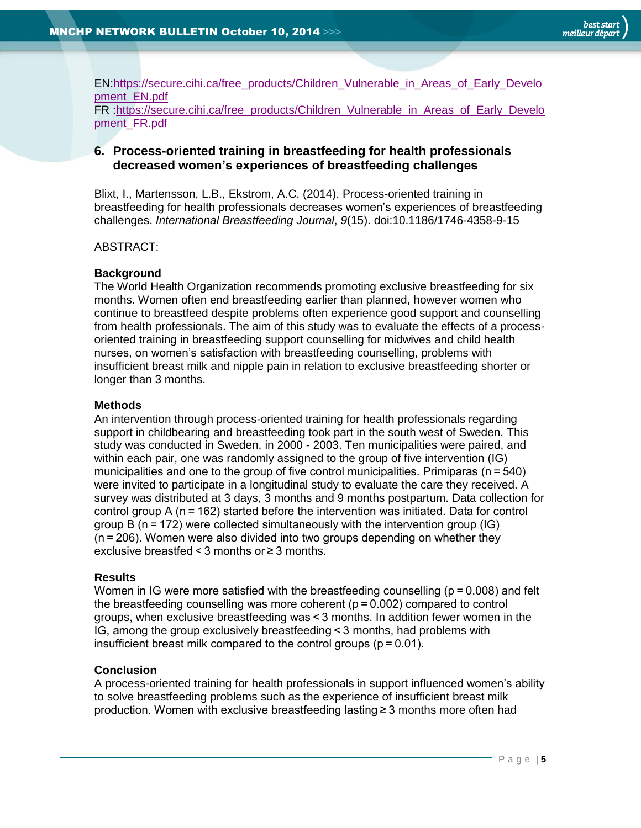EN[:https://secure.cihi.ca/free\\_products/Children\\_Vulnerable\\_in\\_Areas\\_of\\_Early\\_Develo](https://secure.cihi.ca/free_products/Children_Vulnerable_in_Areas_of_Early_Development_EN.pdf) [pment\\_EN.pdf](https://secure.cihi.ca/free_products/Children_Vulnerable_in_Areas_of_Early_Development_EN.pdf) FR [:https://secure.cihi.ca/free\\_products/Children\\_Vulnerable\\_in\\_Areas\\_of\\_Early\\_Develo](https://secure.cihi.ca/free_products/Children_Vulnerable_in_Areas_of_Early_Development_FR.pdf) [pment\\_FR.pdf](https://secure.cihi.ca/free_products/Children_Vulnerable_in_Areas_of_Early_Development_FR.pdf)

# <span id="page-4-0"></span>**6. Process-oriented training in breastfeeding for health professionals decreased women's experiences of breastfeeding challenges**

Blixt, I., Martensson, L.B., Ekstrom, A.C. (2014). Process-oriented training in breastfeeding for health professionals decreases women's experiences of breastfeeding challenges. *International Breastfeeding Journal*, *9*(15). doi:10.1186/1746-4358-9-15

ABSTRACT:

## **Background**

The World Health Organization recommends promoting exclusive breastfeeding for six months. Women often end breastfeeding earlier than planned, however women who continue to breastfeed despite problems often experience good support and counselling from health professionals. The aim of this study was to evaluate the effects of a processoriented training in breastfeeding support counselling for midwives and child health nurses, on women's satisfaction with breastfeeding counselling, problems with insufficient breast milk and nipple pain in relation to exclusive breastfeeding shorter or longer than 3 months.

#### **Methods**

An intervention through process-oriented training for health professionals regarding support in childbearing and breastfeeding took part in the south west of Sweden. This study was conducted in Sweden, in 2000 - 2003. Ten municipalities were paired, and within each pair, one was randomly assigned to the group of five intervention (IG) municipalities and one to the group of five control municipalities. Primiparas ( $n = 540$ ) were invited to participate in a longitudinal study to evaluate the care they received. A survey was distributed at 3 days, 3 months and 9 months postpartum. Data collection for control group A (n = 162) started before the intervention was initiated. Data for control group B ( $n = 172$ ) were collected simultaneously with the intervention group (IG) (n = 206). Women were also divided into two groups depending on whether they exclusive breastfed < 3 months or ≥ 3 months.

#### **Results**

Women in IG were more satisfied with the breastfeeding counselling (p = 0.008) and felt the breastfeeding counselling was more coherent  $(p = 0.002)$  compared to control groups, when exclusive breastfeeding was < 3 months. In addition fewer women in the IG, among the group exclusively breastfeeding < 3 months, had problems with insufficient breast milk compared to the control groups ( $p = 0.01$ ).

## **Conclusion**

A process-oriented training for health professionals in support influenced women's ability to solve breastfeeding problems such as the experience of insufficient breast milk production. Women with exclusive breastfeeding lasting ≥ 3 months more often had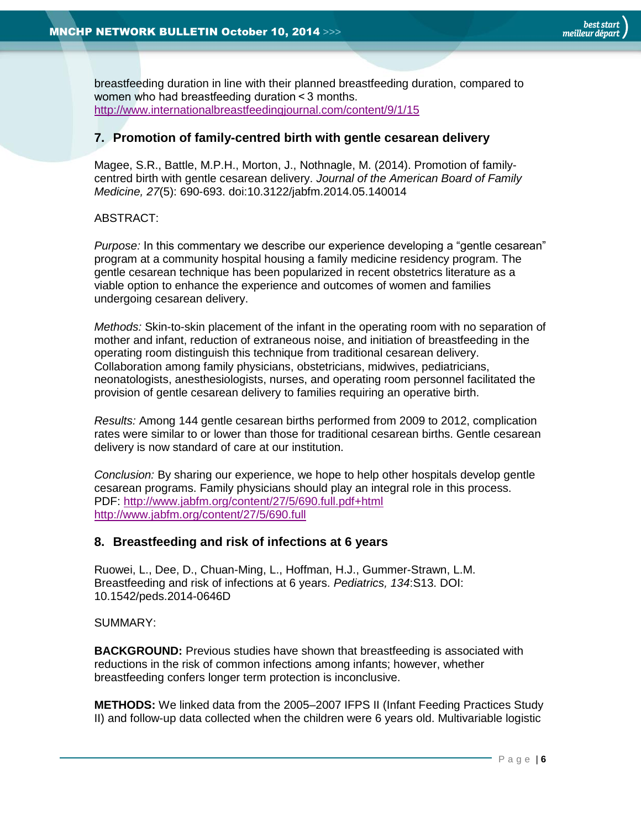breastfeeding duration in line with their planned breastfeeding duration, compared to women who had breastfeeding duration < 3 months. <http://www.internationalbreastfeedingjournal.com/content/9/1/15>

## <span id="page-5-0"></span>**7. Promotion of family-centred birth with gentle cesarean delivery**

Magee, S.R., Battle, M.P.H., Morton, J., Nothnagle, M. (2014). Promotion of familycentred birth with gentle cesarean delivery. *Journal of the American Board of Family Medicine, 27*(5): 690-693. doi:10.3122/jabfm.2014.05.140014

#### ABSTRACT:

*Purpose:* In this commentary we describe our experience developing a "gentle cesarean" program at a community hospital housing a family medicine residency program. The gentle cesarean technique has been popularized in recent obstetrics literature as a viable option to enhance the experience and outcomes of women and families undergoing cesarean delivery.

*Methods:* Skin-to-skin placement of the infant in the operating room with no separation of mother and infant, reduction of extraneous noise, and initiation of breastfeeding in the operating room distinguish this technique from traditional cesarean delivery. Collaboration among family physicians, obstetricians, midwives, pediatricians, neonatologists, anesthesiologists, nurses, and operating room personnel facilitated the provision of gentle cesarean delivery to families requiring an operative birth.

*Results:* Among 144 gentle cesarean births performed from 2009 to 2012, complication rates were similar to or lower than those for traditional cesarean births. Gentle cesarean delivery is now standard of care at our institution.

*Conclusion:* By sharing our experience, we hope to help other hospitals develop gentle cesarean programs. Family physicians should play an integral role in this process. PDF:<http://www.jabfm.org/content/27/5/690.full.pdf+html> <http://www.jabfm.org/content/27/5/690.full>

## <span id="page-5-1"></span>**8. Breastfeeding and risk of infections at 6 years**

Ruowei, L., Dee, D., Chuan-Ming, L., Hoffman, H.J., Gummer-Strawn, L.M. Breastfeeding and risk of infections at 6 years. *Pediatrics, 134*:S13. DOI: 10.1542/peds.2014-0646D

SUMMARY:

**BACKGROUND:** Previous studies have shown that breastfeeding is associated with reductions in the risk of common infections among infants; however, whether breastfeeding confers longer term protection is inconclusive.

**METHODS:** We linked data from the 2005–2007 IFPS II (Infant Feeding Practices Study II) and follow-up data collected when the children were 6 years old. Multivariable logistic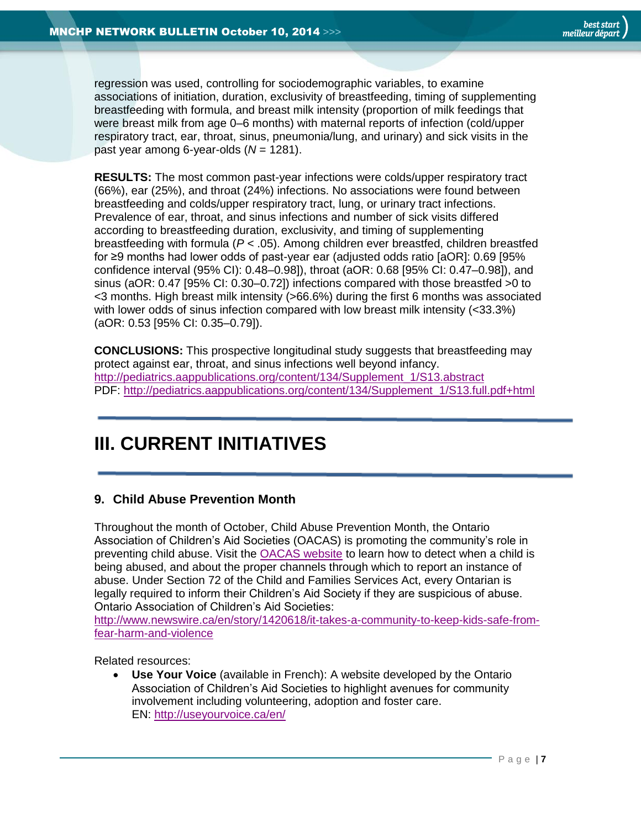

regression was used, controlling for sociodemographic variables, to examine associations of initiation, duration, exclusivity of breastfeeding, timing of supplementing breastfeeding with formula, and breast milk intensity (proportion of milk feedings that were breast milk from age 0–6 months) with maternal reports of infection (cold/upper respiratory tract, ear, throat, sinus, pneumonia/lung, and urinary) and sick visits in the past year among 6-year-olds (*N* = 1281).

**RESULTS:** The most common past-year infections were colds/upper respiratory tract (66%), ear (25%), and throat (24%) infections. No associations were found between breastfeeding and colds/upper respiratory tract, lung, or urinary tract infections. Prevalence of ear, throat, and sinus infections and number of sick visits differed according to breastfeeding duration, exclusivity, and timing of supplementing breastfeeding with formula (*P* < .05). Among children ever breastfed, children breastfed for ≥9 months had lower odds of past-year ear (adjusted odds ratio [aOR]: 0.69 [95% confidence interval (95% CI): 0.48–0.98]), throat (aOR: 0.68 [95% CI: 0.47–0.98]), and sinus (aOR: 0.47 [95% CI: 0.30–0.72]) infections compared with those breastfed >0 to <3 months. High breast milk intensity (>66.6%) during the first 6 months was associated with lower odds of sinus infection compared with low breast milk intensity (<33.3%) (aOR: 0.53 [95% CI: 0.35–0.79]).

**CONCLUSIONS:** This prospective longitudinal study suggests that breastfeeding may protect against ear, throat, and sinus infections well beyond infancy. [http://pediatrics.aappublications.org/content/134/Supplement\\_1/S13.abstract](http://pediatrics.aappublications.org/content/134/Supplement_1/S13.abstract) PDF: [http://pediatrics.aappublications.org/content/134/Supplement\\_1/S13.full.pdf+html](http://pediatrics.aappublications.org/content/134/Supplement_1/S13.full.pdf+html)

# <span id="page-6-0"></span>**III. CURRENT INITIATIVES**

# <span id="page-6-1"></span>**9. Child Abuse Prevention Month**

Throughout the month of October, Child Abuse Prevention Month, the Ontario Association of Children's Aid Societies (OACAS) is promoting the community's role in preventing child abuse. Visit the [OACAS website](http://www.oacas.org/) to learn how to detect when a child is being abused, and about the proper channels through which to report an instance of abuse. Under Section 72 of the Child and Families Services Act, every Ontarian is legally required to inform their Children's Aid Society if they are suspicious of abuse. Ontario Association of Children's Aid Societies:

[http://www.newswire.ca/en/story/1420618/it-takes-a-community-to-keep-kids-safe-from](http://www.newswire.ca/en/story/1420618/it-takes-a-community-to-keep-kids-safe-from-fear-harm-and-violence)[fear-harm-and-violence](http://www.newswire.ca/en/story/1420618/it-takes-a-community-to-keep-kids-safe-from-fear-harm-and-violence)

Related resources:

 **Use Your Voice** (available in French): A website developed by the Ontario Association of Children's Aid Societies to highlight avenues for community involvement including volunteering, adoption and foster care. EN:<http://useyourvoice.ca/en/>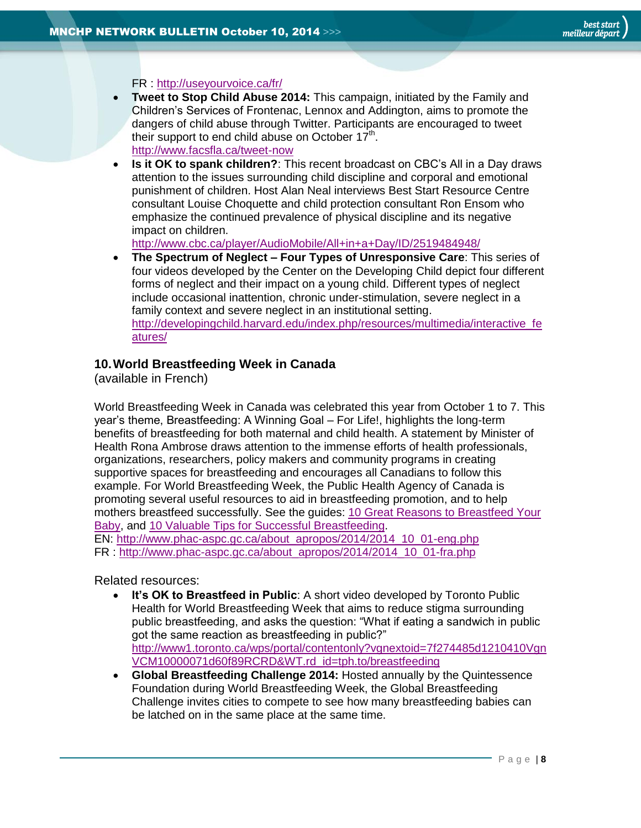

FR :<http://useyourvoice.ca/fr/>

- **Tweet to Stop Child Abuse 2014:** This campaign, initiated by the Family and Children's Services of Frontenac, Lennox and Addington, aims to promote the dangers of child abuse through Twitter. Participants are encouraged to tweet their support to end child abuse on October  $17<sup>th</sup>$ . <http://www.facsfla.ca/tweet-now>
- **Is it OK to spank children?**: This recent broadcast on CBC's All in a Day draws attention to the issues surrounding child discipline and corporal and emotional punishment of children. Host Alan Neal interviews Best Start Resource Centre consultant Louise Choquette and child protection consultant Ron Ensom who emphasize the continued prevalence of physical discipline and its negative impact on children.

<http://www.cbc.ca/player/AudioMobile/All+in+a+Day/ID/2519484948/>

 **The Spectrum of Neglect – Four Types of Unresponsive Care**: This series of four videos developed by the Center on the Developing Child depict four different forms of neglect and their impact on a young child. Different types of neglect include occasional inattention, chronic under-stimulation, severe neglect in a family context and severe neglect in an institutional setting. [http://developingchild.harvard.edu/index.php/resources/multimedia/interactive\\_fe](http://developingchild.harvard.edu/index.php/resources/multimedia/interactive_features/) [atures/](http://developingchild.harvard.edu/index.php/resources/multimedia/interactive_features/)

#### <span id="page-7-0"></span>**10.World Breastfeeding Week in Canada**

(available in French)

World Breastfeeding Week in Canada was celebrated this year from October 1 to 7. This year's theme, Breastfeeding: A Winning Goal – For Life!, highlights the long-term benefits of breastfeeding for both maternal and child health. A statement by Minister of Health Rona Ambrose draws attention to the immense efforts of health professionals, organizations, researchers, policy makers and community programs in creating supportive spaces for breastfeeding and encourages all Canadians to follow this example. For World Breastfeeding Week, the Public Health Agency of Canada is promoting several useful resources to aid in breastfeeding promotion, and to help mothers breastfeed successfully. See the guides: [10 Great Reasons to Breastfeed Your](http://www.phac-aspc.gc.ca/hp-ps/dca-dea/stages-etapes/childhood-enfance_0-2/nutrition/reasons-raisons-eng.php)  [Baby,](http://www.phac-aspc.gc.ca/hp-ps/dca-dea/stages-etapes/childhood-enfance_0-2/nutrition/reasons-raisons-eng.php) and [10 Valuable Tips for Successful Breastfeeding.](http://www.phac-aspc.gc.ca/hp-ps/dca-dea/stages-etapes/childhood-enfance_0-2/nutrition/tips-cons-eng.php)

EN: [http://www.phac-aspc.gc.ca/about\\_apropos/2014/2014\\_10\\_01-eng.php](http://www.phac-aspc.gc.ca/about_apropos/2014/2014_10_01-eng.php) FR : [http://www.phac-aspc.gc.ca/about\\_apropos/2014/2014\\_10\\_01-fra.php](http://www.phac-aspc.gc.ca/about_apropos/2014/2014_10_01-fra.php)

Related resources:

- **It's OK to Breastfeed in Public:** A short video developed by Toronto Public Health for World Breastfeeding Week that aims to reduce stigma surrounding public breastfeeding, and asks the question: "What if eating a sandwich in public got the same reaction as breastfeeding in public?" [http://www1.toronto.ca/wps/portal/contentonly?vgnextoid=7f274485d1210410Vgn](http://www1.toronto.ca/wps/portal/contentonly?vgnextoid=7f274485d1210410VgnVCM10000071d60f89RCRD&WT.rd_id=tph.to/breastfeeding) [VCM10000071d60f89RCRD&WT.rd\\_id=tph.to/breastfeeding](http://www1.toronto.ca/wps/portal/contentonly?vgnextoid=7f274485d1210410VgnVCM10000071d60f89RCRD&WT.rd_id=tph.to/breastfeeding)
- **Global Breastfeeding Challenge 2014:** Hosted annually by the Quintessence Foundation during World Breastfeeding Week, the Global Breastfeeding Challenge invites cities to compete to see how many breastfeeding babies can be latched on in the same place at the same time.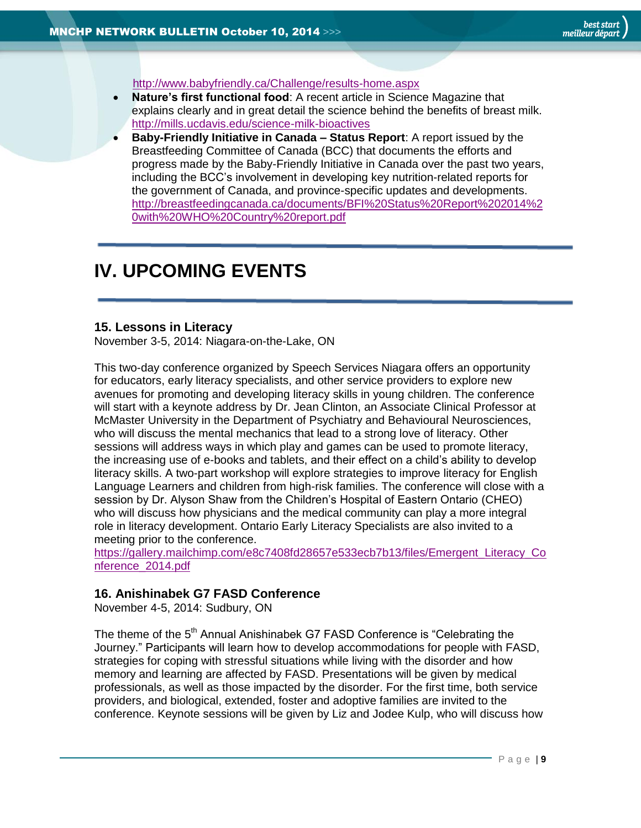<span id="page-8-0"></span><http://www.babyfriendly.ca/Challenge/results-home.aspx>

- **Nature's first functional food**: A recent article in Science Magazine that explains clearly and in great detail the science behind the benefits of breast milk. <http://mills.ucdavis.edu/science-milk-bioactives>
- **Baby-Friendly Initiative in Canada – Status Report**: A report issued by the Breastfeeding Committee of Canada (BCC) that documents the efforts and progress made by the Baby-Friendly Initiative in Canada over the past two years, including the BCC's involvement in developing key nutrition-related reports for the government of Canada, and province-specific updates and developments. [http://breastfeedingcanada.ca/documents/BFI%20Status%20Report%202014%2](http://breastfeedingcanada.ca/documents/BFI%20Status%20Report%202014%20with%20WHO%20Country%20report.pdf) [0with%20WHO%20Country%20report.pdf](http://breastfeedingcanada.ca/documents/BFI%20Status%20Report%202014%20with%20WHO%20Country%20report.pdf)

# **IV. UPCOMING EVENTS**

#### <span id="page-8-1"></span>**15. Lessons in Literacy**

November 3-5, 2014: Niagara-on-the-Lake, ON

This two-day conference organized by Speech Services Niagara offers an opportunity for educators, early literacy specialists, and other service providers to explore new avenues for promoting and developing literacy skills in young children. The conference will start with a keynote address by Dr. Jean Clinton, an Associate Clinical Professor at McMaster University in the Department of Psychiatry and Behavioural Neurosciences, who will discuss the mental mechanics that lead to a strong love of literacy. Other sessions will address ways in which play and games can be used to promote literacy, the increasing use of e-books and tablets, and their effect on a child's ability to develop literacy skills. A two-part workshop will explore strategies to improve literacy for English Language Learners and children from high-risk families. The conference will close with a session by Dr. Alyson Shaw from the Children's Hospital of Eastern Ontario (CHEO) who will discuss how physicians and the medical community can play a more integral role in literacy development. Ontario Early Literacy Specialists are also invited to a meeting prior to the conference.

[https://gallery.mailchimp.com/e8c7408fd28657e533ecb7b13/files/Emergent\\_Literacy\\_Co](https://gallery.mailchimp.com/e8c7408fd28657e533ecb7b13/files/Emergent_Literacy_Conference_2014.pdf) [nference\\_2014.pdf](https://gallery.mailchimp.com/e8c7408fd28657e533ecb7b13/files/Emergent_Literacy_Conference_2014.pdf)

## <span id="page-8-2"></span>**16. Anishinabek G7 FASD Conference**

November 4-5, 2014: Sudbury, ON

The theme of the 5<sup>th</sup> Annual Anishinabek G7 FASD Conference is "Celebrating the Journey." Participants will learn how to develop accommodations for people with FASD, strategies for coping with stressful situations while living with the disorder and how memory and learning are affected by FASD. Presentations will be given by medical professionals, as well as those impacted by the disorder. For the first time, both service providers, and biological, extended, foster and adoptive families are invited to the conference. Keynote sessions will be given by Liz and Jodee Kulp, who will discuss how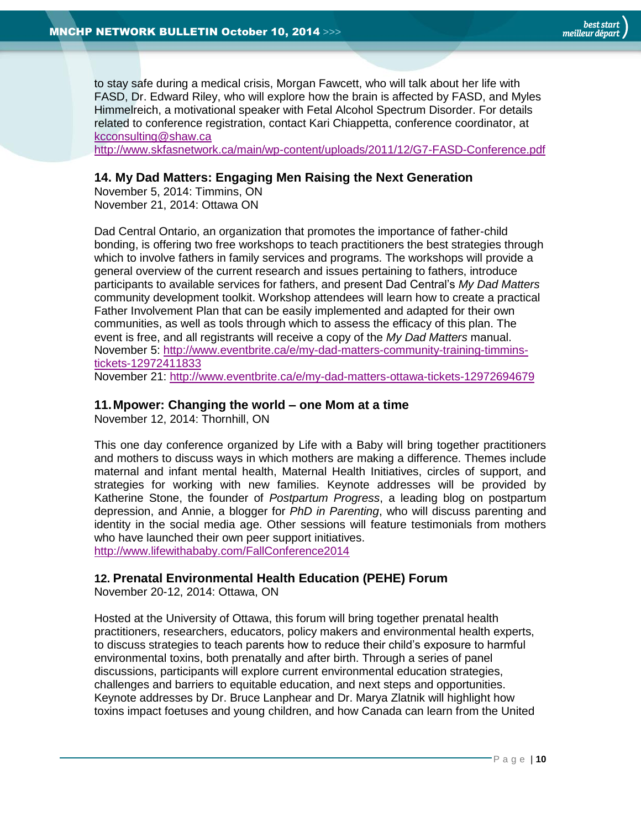to stay safe during a medical crisis, Morgan Fawcett, who will talk about her life with FASD, Dr. Edward Riley, who will explore how the brain is affected by FASD, and Myles Himmelreich, a motivational speaker with Fetal Alcohol Spectrum Disorder. For details related to conference registration, contact Kari Chiappetta, conference coordinator, at [kcconsulting@shaw.ca](mailto:kcconsulting@shaw.ca)

<http://www.skfasnetwork.ca/main/wp-content/uploads/2011/12/G7-FASD-Conference.pdf>

## <span id="page-9-0"></span>**14. My Dad Matters: Engaging Men Raising the Next Generation**

November 5, 2014: Timmins, ON November 21, 2014: Ottawa ON

Dad Central Ontario, an organization that promotes the importance of father-child bonding, is offering two free workshops to teach practitioners the best strategies through which to involve fathers in family services and programs. The workshops will provide a general overview of the current research and issues pertaining to fathers, introduce participants to available services for fathers, and present Dad Central's *My Dad Matters* community development toolkit. Workshop attendees will learn how to create a practical Father Involvement Plan that can be easily implemented and adapted for their own communities, as well as tools through which to assess the efficacy of this plan. The event is free, and all registrants will receive a copy of the *My Dad Matters* manual. November 5: [http://www.eventbrite.ca/e/my-dad-matters-community-training-timmins](http://www.eventbrite.ca/e/my-dad-matters-community-training-timmins-tickets-12972411833)[tickets-12972411833](http://www.eventbrite.ca/e/my-dad-matters-community-training-timmins-tickets-12972411833)

November 21:<http://www.eventbrite.ca/e/my-dad-matters-ottawa-tickets-12972694679>

## <span id="page-9-1"></span>**11.Mpower: Changing the world – one Mom at a time**

November 12, 2014: Thornhill, ON

This one day conference organized by Life with a Baby will bring together practitioners and mothers to discuss ways in which mothers are making a difference. Themes include maternal and infant mental health, Maternal Health Initiatives, circles of support, and strategies for working with new families. Keynote addresses will be provided by Katherine Stone, the founder of *Postpartum Progress*, a leading blog on postpartum depression, and Annie, a blogger for *PhD in Parenting*, who will discuss parenting and identity in the social media age. Other sessions will feature testimonials from mothers who have launched their own peer support initiatives. <http://www.lifewithababy.com/FallConference2014>

## <span id="page-9-2"></span>**12. Prenatal Environmental Health Education (PEHE) Forum**

November 20-12, 2014: Ottawa, ON

Hosted at the University of Ottawa, this forum will bring together prenatal health practitioners, researchers, educators, policy makers and environmental health experts, to discuss strategies to teach parents how to reduce their child's exposure to harmful environmental toxins, both prenatally and after birth. Through a series of panel discussions, participants will explore current environmental education strategies, challenges and barriers to equitable education, and next steps and opportunities. Keynote addresses by Dr. Bruce Lanphear and Dr. Marya Zlatnik will highlight how toxins impact foetuses and young children, and how Canada can learn from the United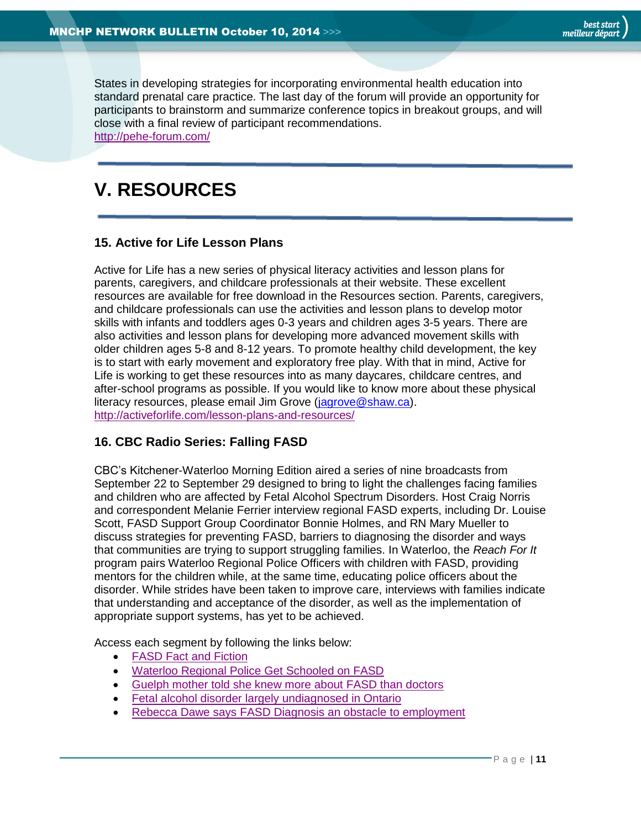States in developing strategies for incorporating environmental health education into standard prenatal care practice. The last day of the forum will provide an opportunity for participants to brainstorm and summarize conference topics in breakout groups, and will close with a final review of participant recommendations. <http://pehe-forum.com/>

# <span id="page-10-0"></span>**V. RESOURCES**

## <span id="page-10-1"></span>**15. Active for Life Lesson Plans**

Active for Life has a new series of physical literacy activities and lesson plans for parents, caregivers, and childcare professionals at their website. These excellent resources are available for free download in the Resources section. Parents, caregivers, and childcare professionals can use the activities and lesson plans to develop motor skills with infants and toddlers ages 0-3 years and children ages 3-5 years. There are also activities and lesson plans for developing more advanced movement skills with older children ages 5-8 and 8-12 years. To promote healthy child development, the key is to start with early movement and exploratory free play. With that in mind, Active for Life is working to get these resources into as many daycares, childcare centres, and after-school programs as possible. If you would like to know more about these physical literacy resources, please email Jim Grove [\(jagrove@shaw.ca\)](mailto:jagrove@shaw.ca). <http://activeforlife.com/lesson-plans-and-resources/>

## <span id="page-10-2"></span>**16. CBC Radio Series: Falling FASD**

CBC's Kitchener-Waterloo Morning Edition aired a series of nine broadcasts from September 22 to September 29 designed to bring to light the challenges facing families and children who are affected by Fetal Alcohol Spectrum Disorders. Host Craig Norris and correspondent Melanie Ferrier interview regional FASD experts, including Dr. Louise Scott, FASD Support Group Coordinator Bonnie Holmes, and RN Mary Mueller to discuss strategies for preventing FASD, barriers to diagnosing the disorder and ways that communities are trying to support struggling families. In Waterloo, the *Reach For It* program pairs Waterloo Regional Police Officers with children with FASD, providing mentors for the children while, at the same time, educating police officers about the disorder. While strides have been taken to improve care, interviews with families indicate that understanding and acceptance of the disorder, as well as the implementation of appropriate support systems, has yet to be achieved.

Access each segment by following the links below:

- [FASD Fact and Fiction](http://www.cbc.ca/player/Radio/Local+Shows/Ontario/The+Morning+Edition+-+K-W/ID/2527142825/?page=3)
- [Waterloo Regional Police Get Schooled on FASD](http://www.cbc.ca/player/Radio/Local+Shows/Ontario/The+Morning+Edition+-+K-W/ID/2527112881/?page=3)
- [Guelph mother told she knew more about FASD than doctors](http://www.cbc.ca/player/Radio/Local+Shows/Ontario/The+Morning+Edition+-+K-W/ID/2528448415/?page=3)
- [Fetal alcohol disorder largely undiagnosed in Ontario](http://www.cbc.ca/player/Radio/Local+Shows/Ontario/The+Morning+Edition+-+K-W/ID/2528278317/?page=3)
- [Rebecca Dawe says FASD Diagnosis an obstacle to employment](http://www.cbc.ca/player/Radio/Local+Shows/Ontario/The+Morning+Edition+-+K-W/ID/2548861946/?page=2)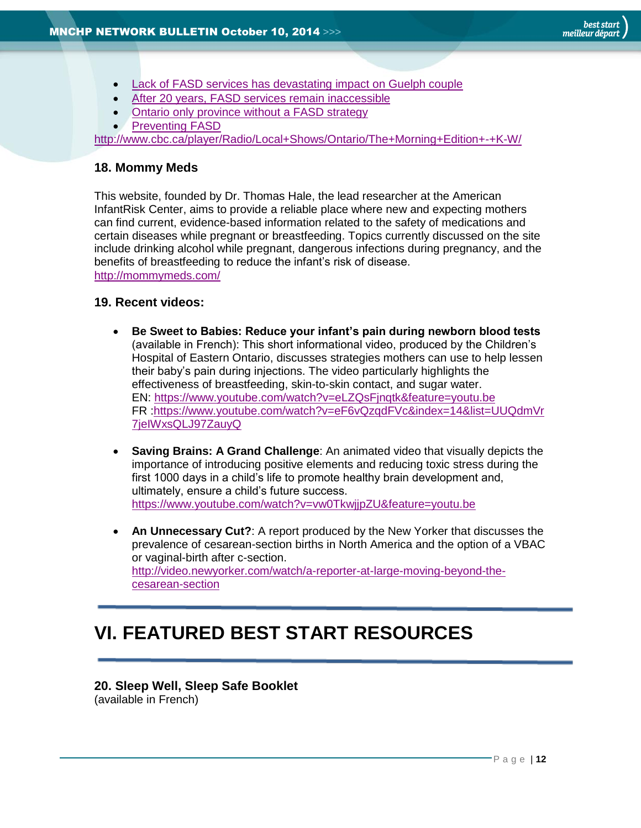- [Lack of FASD services has devastating impact on Guelph couple](http://www.cbc.ca/player/Radio/Local+Shows/Ontario/The+Morning+Edition+-+K-W/ID/2530794035/?page=2)
- [After 20 years, FASD services remain inaccessible](http://www.cbc.ca/player/Radio/Local+Shows/Ontario/The+Morning+Edition+-+K-W/ID/2530794027/?page=2)
- [Ontario only province without a FASD strategy](http://www.cbc.ca/player/Radio/Local+Shows/Ontario/The+Morning+Edition+-+K-W/ID/2532241552/?page=2)
- [Preventing FASD](http://www.cbc.ca/player/Radio/Local+Shows/Ontario/The+Morning+Edition+-+K-W/ID/2535406601/?page=2)

<http://www.cbc.ca/player/Radio/Local+Shows/Ontario/The+Morning+Edition+-+K-W/>

# <span id="page-11-0"></span>**18. Mommy Meds**

This website, founded by Dr. Thomas Hale, the lead researcher at the American InfantRisk Center, aims to provide a reliable place where new and expecting mothers can find current, evidence-based information related to the safety of medications and certain diseases while pregnant or breastfeeding. Topics currently discussed on the site include drinking alcohol while pregnant, dangerous infections during pregnancy, and the benefits of breastfeeding to reduce the infant's risk of disease. <http://mommymeds.com/>

## <span id="page-11-1"></span>**19. Recent videos:**

- **Be Sweet to Babies: Reduce your infant's pain during newborn blood tests** (available in French): This short informational video, produced by the Children's Hospital of Eastern Ontario, discusses strategies mothers can use to help lessen their baby's pain during injections. The video particularly highlights the effectiveness of breastfeeding, skin-to-skin contact, and sugar water. EN:<https://www.youtube.com/watch?v=eLZQsFjnqtk&feature=youtu.be> FR [:https://www.youtube.com/watch?v=eF6vQzqdFVc&index=14&list=UUQdmVr](https://www.youtube.com/watch?v=eF6vQzqdFVc&index=14&list=UUQdmVr7jeIWxsQLJ97ZauyQ) [7jeIWxsQLJ97ZauyQ](https://www.youtube.com/watch?v=eF6vQzqdFVc&index=14&list=UUQdmVr7jeIWxsQLJ97ZauyQ)
- **Saving Brains: A Grand Challenge**: An animated video that visually depicts the importance of introducing positive elements and reducing toxic stress during the first 1000 days in a child's life to promote healthy brain development and, ultimately, ensure a child's future success. <https://www.youtube.com/watch?v=vw0TkwjjpZU&feature=youtu.be>
- **An Unnecessary Cut?**: A report produced by the New Yorker that discusses the prevalence of cesarean-section births in North America and the option of a VBAC or vaginal-birth after c-section. [http://video.newyorker.com/watch/a-reporter-at-large-moving-beyond-the](http://video.newyorker.com/watch/a-reporter-at-large-moving-beyond-the-cesarean-section)[cesarean-section](http://video.newyorker.com/watch/a-reporter-at-large-moving-beyond-the-cesarean-section)

# <span id="page-11-2"></span>**VI. FEATURED BEST START RESOURCES**

## <span id="page-11-3"></span>**20. Sleep Well, Sleep Safe Booklet**

(available in French)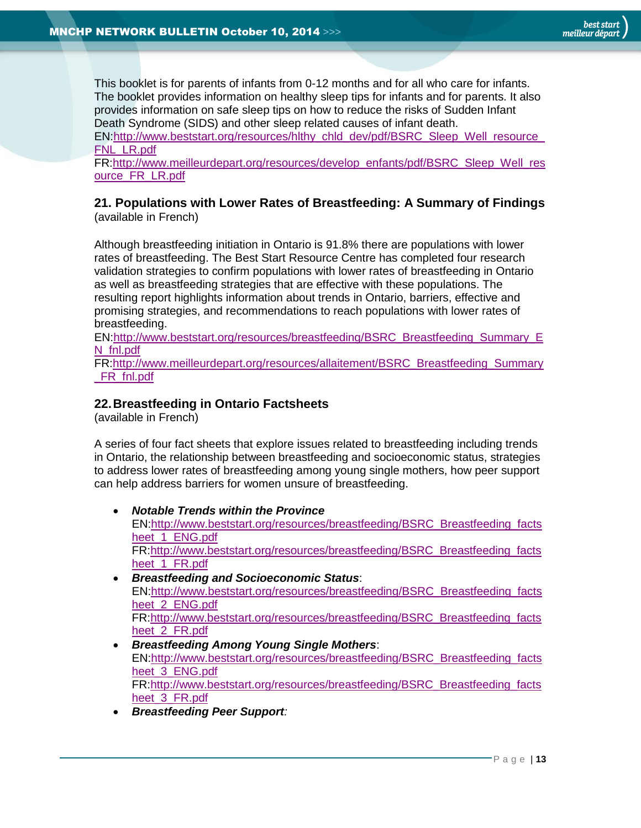This booklet is for parents of infants from 0-12 months and for all who care for infants. The booklet provides information on healthy sleep tips for infants and for parents. It also provides information on safe sleep tips on how to reduce the risks of Sudden Infant Death Syndrome (SIDS) and other sleep related causes of infant death.

EN[:http://www.beststart.org/resources/hlthy\\_chld\\_dev/pdf/BSRC\\_Sleep\\_Well\\_resource\\_](http://www.beststart.org/resources/hlthy_chld_dev/pdf/BSRC_Sleep_Well_resource_FNL_LR.pdf) [FNL\\_LR.pdf](http://www.beststart.org/resources/hlthy_chld_dev/pdf/BSRC_Sleep_Well_resource_FNL_LR.pdf)

FR[:http://www.meilleurdepart.org/resources/develop\\_enfants/pdf/BSRC\\_Sleep\\_Well\\_res](http://www.meilleurdepart.org/resources/develop_enfants/pdf/BSRC_Sleep_Well_resource_FR_LR.pdf) [ource\\_FR\\_LR.pdf](http://www.meilleurdepart.org/resources/develop_enfants/pdf/BSRC_Sleep_Well_resource_FR_LR.pdf)

#### <span id="page-12-0"></span>**21. Populations with Lower Rates of Breastfeeding: A Summary of Findings** (available in French)

Although breastfeeding initiation in Ontario is 91.8% there are populations with lower rates of breastfeeding. The Best Start Resource Centre has completed four research validation strategies to confirm populations with lower rates of breastfeeding in Ontario as well as breastfeeding strategies that are effective with these populations. The resulting report highlights information about trends in Ontario, barriers, effective and promising strategies, and recommendations to reach populations with lower rates of breastfeeding.

EN[:http://www.beststart.org/resources/breastfeeding/BSRC\\_Breastfeeding\\_Summary\\_E](http://www.beststart.org/resources/breastfeeding/BSRC_Breastfeeding_Summary_EN_fnl.pdf) [N\\_fnl.pdf](http://www.beststart.org/resources/breastfeeding/BSRC_Breastfeeding_Summary_EN_fnl.pdf)

FR[:http://www.meilleurdepart.org/resources/allaitement/BSRC\\_Breastfeeding\\_Summary](http://www.meilleurdepart.org/resources/allaitement/BSRC_Breastfeeding_Summary_FR_fnl.pdf) [\\_FR\\_fnl.pdf](http://www.meilleurdepart.org/resources/allaitement/BSRC_Breastfeeding_Summary_FR_fnl.pdf)

# <span id="page-12-1"></span>**22.Breastfeeding in Ontario Factsheets**

(available in French)

A series of four fact sheets that explore issues related to breastfeeding including trends in Ontario, the relationship between breastfeeding and socioeconomic status, strategies to address lower rates of breastfeeding among young single mothers, how peer support can help address barriers for women unsure of breastfeeding.

- *Notable Trends within the Province* EN[:http://www.beststart.org/resources/breastfeeding/BSRC\\_Breastfeeding\\_facts](http://www.beststart.org/resources/breastfeeding/BSRC_Breastfeeding_factsheet_1_ENG.pdf) heet 1 ENG.pdf FR[:http://www.beststart.org/resources/breastfeeding/BSRC\\_Breastfeeding\\_facts](http://www.beststart.org/resources/breastfeeding/BSRC_Breastfeeding_factsheet_1_FR.pdf) heet 1 FR.pdf
- *Breastfeeding and Socioeconomic Status*: EN[:http://www.beststart.org/resources/breastfeeding/BSRC\\_Breastfeeding\\_facts](http://www.beststart.org/resources/breastfeeding/BSRC_Breastfeeding_factsheet_2_ENG.pdf) heet 2 ENG.pdf FR[:http://www.beststart.org/resources/breastfeeding/BSRC\\_Breastfeeding\\_facts](http://www.beststart.org/resources/breastfeeding/BSRC_Breastfeeding_factsheet_2_FR.pdf) heet 2 FR.pdf
- *Breastfeeding Among Young Single Mothers*: EN[:http://www.beststart.org/resources/breastfeeding/BSRC\\_Breastfeeding\\_facts](http://www.beststart.org/resources/breastfeeding/BSRC_Breastfeeding_factsheet_3_ENG.pdf) heet 3 ENG.pdf FR[:http://www.beststart.org/resources/breastfeeding/BSRC\\_Breastfeeding\\_facts](http://www.beststart.org/resources/breastfeeding/BSRC_Breastfeeding_factsheet_3_FR.pdf) heet 3 FR.pdf
- *Breastfeeding Peer Support:*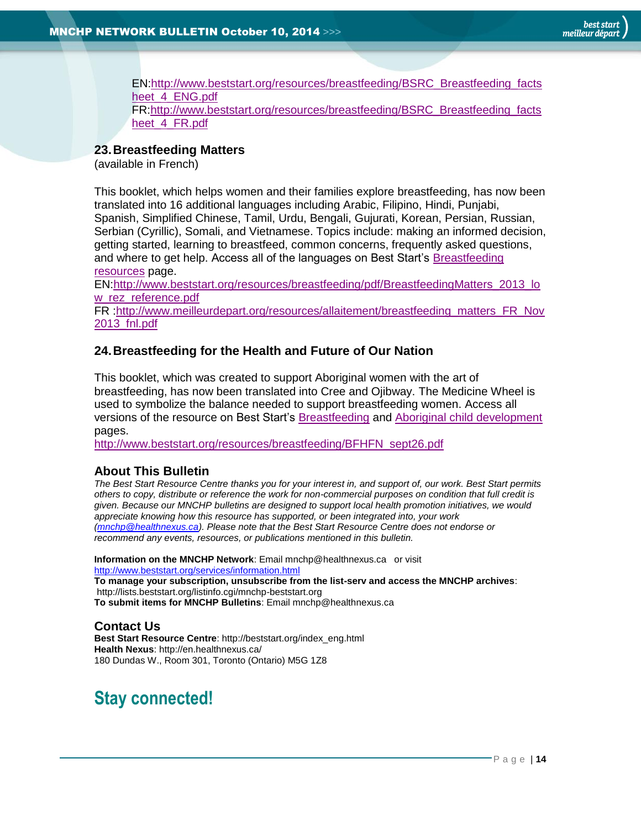EN[:http://www.beststart.org/resources/breastfeeding/BSRC\\_Breastfeeding\\_facts](http://www.beststart.org/resources/breastfeeding/BSRC_Breastfeeding_factsheet_4_ENG.pdf) heet 4 ENG.pdf FR[:http://www.beststart.org/resources/breastfeeding/BSRC\\_Breastfeeding\\_facts](http://www.beststart.org/resources/breastfeeding/BSRC_Breastfeeding_factsheet_4_FR.pdf) heet 4 FR.pdf

# <span id="page-13-1"></span>**23.Breastfeeding Matters**

(available in French)

This booklet, which helps women and their families explore breastfeeding, has now been translated into 16 additional languages including Arabic, Filipino, Hindi, Punjabi, Spanish, Simplified Chinese, Tamil, Urdu, Bengali, Gujurati, Korean, Persian, Russian, Serbian (Cyrillic), Somali, and Vietnamese. Topics include: making an informed decision, getting started, learning to breastfeed, common concerns, frequently asked questions, and where to get help. Access all of the languages on Best Start's [Breastfeeding](http://www.beststart.org/cgi-bin/commerce.cgi?search=action&category=B00E&advanced=yes&sortkey=sku&sortorder=descending)  [resources](http://www.beststart.org/cgi-bin/commerce.cgi?search=action&category=B00E&advanced=yes&sortkey=sku&sortorder=descending) page.

EN[:http://www.beststart.org/resources/breastfeeding/pdf/BreastfeedingMatters\\_2013\\_lo](http://www.beststart.org/resources/breastfeeding/pdf/BreastfeedingMatters_2013_low_rez_reference.pdf) [w\\_rez\\_reference.pdf](http://www.beststart.org/resources/breastfeeding/pdf/BreastfeedingMatters_2013_low_rez_reference.pdf)

FR [:http://www.meilleurdepart.org/resources/allaitement/breastfeeding\\_matters\\_FR\\_Nov](http://www.meilleurdepart.org/resources/allaitement/breastfeeding_matters_FR_Nov2013_fnl.pdf) [2013\\_fnl.pdf](http://www.meilleurdepart.org/resources/allaitement/breastfeeding_matters_FR_Nov2013_fnl.pdf)

## <span id="page-13-2"></span>**24.Breastfeeding for the Health and Future of Our Nation**

This booklet, which was created to support Aboriginal women with the art of breastfeeding, has now been translated into Cree and Ojibway. The Medicine Wheel is used to symbolize the balance needed to support breastfeeding women. Access all versions of the resource on Best Start's [Breastfeeding](http://www.beststart.org/cgi-bin/commerce.cgi?search=action&category=B00E&advanced=yes&sortkey=sku&sortorder=descending) and [Aboriginal child development](http://www.beststart.org/cgi-bin/commerce.cgi?search=action&category=AB0A&advanced=yes&sortkey=sku&sortorder=descending) pages.

[http://www.beststart.org/resources/breastfeeding/BFHFN\\_sept26.pdf](http://www.beststart.org/resources/breastfeeding/BFHFN_sept26.pdf)

## <span id="page-13-0"></span>**About This Bulletin**

*The Best Start Resource Centre thanks you for your interest in, and support of, our work. Best Start permits others to copy, distribute or reference the work for non-commercial purposes on condition that full credit is given. Because our MNCHP bulletins are designed to support local health promotion initiatives, we would appreciate knowing how this resource has supported, or been integrated into, your work [\(mnchp@healthnexus.ca\)](mailto:mnchp@healthnexus.ca). Please note that the Best Start Resource Centre does not endorse or recommend any events, resources, or publications mentioned in this bulletin.* 

**Information on the MNCHP Network**: Email mnchp@healthnexus.ca or visit <http://www.beststart.org/services/information.html>

**To manage your subscription, unsubscribe from the list-serv and access the MNCHP archives**: http://lists.beststart.org/listinfo.cgi/mnchp-beststart.org **To submit items for MNCHP Bulletins**: Email mnchp@healthnexus.ca

## **Contact Us**

**Best Start Resource Centre**: http://beststart.org/index\_eng.html **Health Nexus**: http://en.healthnexus.ca/ 180 Dundas W., Room 301, Toronto (Ontario) M5G 1Z8

# **Stay connected!**